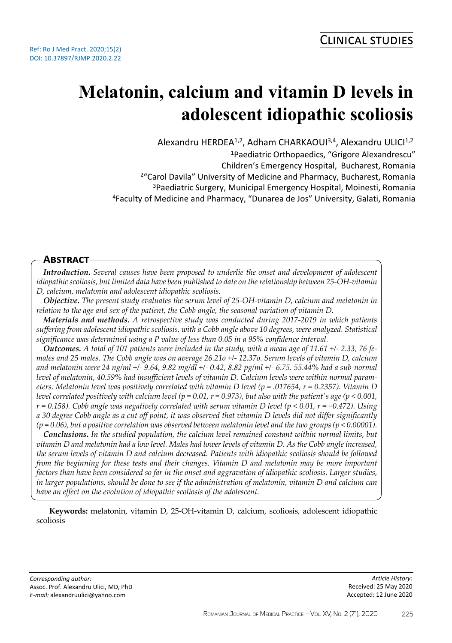# **Melatonin, calcium and vitamin D levels in adolescent idiopathic scoliosis**

Alexandru HERDEA<sup>1,2</sup>, Adham CHARKAOUI<sup>3,4</sup>, Alexandru ULICI<sup>1,2</sup>

<sup>1</sup>Paediatric Orthopaedics, "Grigore Alexandrescu"

Children's Emergency Hospital, Bucharest, Romania

<sup>2</sup>"Carol Davila" University of Medicine and Pharmacy, Bucharest, Romania

<sup>3</sup>Paediatric Surgery, Municipal Emergency Hospital, Moinesti, Romania

<sup>4</sup>Faculty of Medicine and Pharmacy, "Dunarea de Jos" University, Galati, Romania

#### **Abstract**

*Introduction. Several causes have been proposed to underlie the onset and development of adolescent idiopathic scoliosis, but limited data have been published to date on the relationship between 25-OH-vitamin D, calcium, melatonin and adolescent idiopathic scoliosis.*

*Objective. The present study evaluates the serum level of 25-OH-vitamin D, calcium and melatonin in relation to the age and sex of the patient, the Cobb angle, the seasonal variation of vitamin D.*

*Materials and methods. A retrospective study was conducted during 2017-2019 in which patients suffering from adolescent idiopathic scoliosis, with a Cobb angle above 10 degrees, were analyzed. Statistical significance was determined using a P value of less than 0.05 in a 95% confidence interval.*

*Outcomes. A total of 101 patients were included in the study, with a mean age of 11.61 +/- 2.33, 76 females and 25 males. The Cobb angle was on average 26.21o +/- 12.37o. Serum levels of vitamin D, calcium and melatonin were 24 ng/ml +/- 9.64, 9.82 mg/dl +/- 0.42, 8.82 pg/ml +/- 6.75. 55.44% had a sub-normal level of melatonin, 40.59% had insufficient levels of vitamin D. Calcium levels were within normal parameters. Melatonin level was positively correlated with vitamin D level (p = .017654, r = 0.2357). Vitamin D level correlated positively with calcium level (p = 0.01, r = 0.973), but also with the patient's age (p < 0.001, r = 0.158). Cobb angle was negatively correlated with serum vitamin D level (p < 0.01, r = −0.472). Using a 30 degree Cobb angle as a cut off point, it was observed that vitamin D levels did not differ significantly (p = 0.06), but a positive correlation was observed between melatonin level and the two groups (p < 0.00001).*

*Conclusions. In the studied population, the calcium level remained constant within normal limits, but vitamin D and melatonin had a low level. Males had lower levels of vitamin D. As the Cobb angle increased, the serum levels of vitamin D and calcium decreased. Patients with idiopathic scoliosis should be followed from the beginning for these tests and their changes. Vitamin D and melatonin may be more important factors than have been considered so far in the onset and aggravation of idiopathic scoliosis. Larger studies, in larger populations, should be done to see if the administration of melatonin, vitamin D and calcium can have an effect on the evolution of idiopathic scoliosis of the adolescent.*

**Keywords:** melatonin, vitamin D, 25-OH-vitamin D, calcium, scoliosis, adolescent idiopathic scoliosis

*Corresponding author:* Assoc. Prof. Alexandru Ulici, MD, PhD *E-mail:* alexandruulici@yahoo.com

*Article History:* Received: 25 May 2020 Accepted: 12 June 2020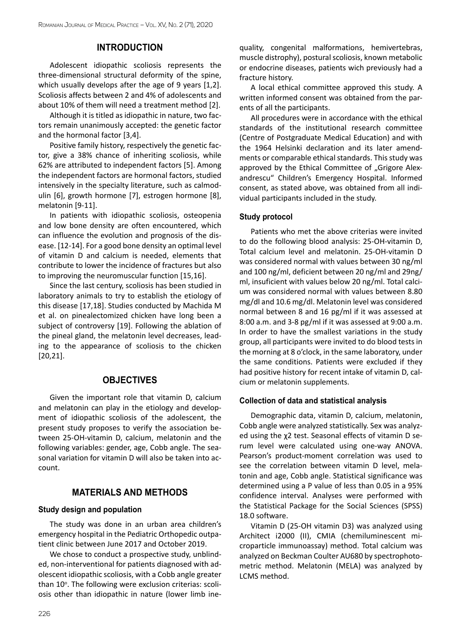#### **INTRODUCTION**

Adolescent idiopathic scoliosis represents the three-dimensional structural deformity of the spine, which usually develops after the age of 9 years [1,2]. Scoliosis affects between 2 and 4% of adolescents and about 10% of them will need a treatment method [2].

Although it is titled as idiopathic in nature, two factors remain unanimously accepted: the genetic factor and the hormonal factor [3,4].

Positive family history, respectively the genetic factor, give a 38% chance of inheriting scoliosis, while 62% are attributed to independent factors [5]. Among the independent factors are hormonal factors, studied intensively in the specialty literature, such as calmodulin [6], growth hormone [7], estrogen hormone [8], melatonin [9-11].

In patients with idiopathic scoliosis, osteopenia and low bone density are often encountered, which can influence the evolution and prognosis of the disease. [12-14]. For a good bone density an optimal level of vitamin D and calcium is needed, elements that contribute to lower the incidence of fractures but also to improving the neuromuscular function [15,16].

Since the last century, scoliosis has been studied in laboratory animals to try to establish the etiology of this disease [17,18]. Studies conducted by Machida M et al. on pinealectomized chicken have long been a subject of controversy [19]. Following the ablation of the pineal gland, the melatonin level decreases, leading to the appearance of scoliosis to the chicken [20,21].

#### **OBJECTIVES**

Given the important role that vitamin D, calcium and melatonin can play in the etiology and development of idiopathic scoliosis of the adolescent, the present study proposes to verify the association between 25-OH-vitamin D, calcium, melatonin and the following variables: gender, age, Cobb angle. The seasonal variation for vitamin D will also be taken into account.

## **MATERIALS AND METHODS**

#### **Study design and population**

The study was done in an urban area children's emergency hospital in the Pediatric Orthopedic outpatient clinic between June 2017 and October 2019.

We chose to conduct a prospective study, unblinded, non-interventional for patients diagnosed with adolescent idiopathic scoliosis, with a Cobb angle greater than 10°. The following were exclusion criterias: scoliosis other than idiopathic in nature (lower limb inequality, congenital malformations, hemivertebras, muscle distrophy), postural scoliosis, known metabolic or endocrine diseases, patients wich previously had a fracture history.

A local ethical committee approved this study. A written informed consent was obtained from the parents of all the participants.

All procedures were in accordance with the ethical standards of the institutional research committee (Centre of Postgraduate Medical Education) and with the 1964 Helsinki declaration and its later amendments or comparable ethical standards. This study was approved by the Ethical Committee of "Grigore Alexandrescu" Children's Emergency Hospital. Informed consent, as stated above, was obtained from all individual participants included in the study.

#### **Study protocol**

Patients who met the above criterias were invited to do the following blood analysis: 25-OH-vitamin D, Total calcium level and melatonin. 25-OH-vitamin D was considered normal with values between 30 ng/ml and 100 ng/ml, deficient between 20 ng/ml and 29ng/ ml, insuficient with values below 20 ng/ml. Total calcium was considered normal with values between 8.80 mg/dl and 10.6 mg/dl. Melatonin level was considered normal between 8 and 16 pg/ml if it was assessed at 8:00 a.m. and 3-8 pg/ml if it was assessed at 9:00 a.m. In order to have the smallest variations in the study group, all participants were invited to do blood tests in the morning at 8 o'clock, in the same laboratory, under the same conditions. Patients were excluded if they had positive history for recent intake of vitamin D, calcium or melatonin supplements.

#### **Collection of data and statistical analysis**

Demographic data, vitamin D, calcium, melatonin, Cobb angle were analyzed statistically. Sex was analyzed using the χ2 test. Seasonal effects of vitamin D serum level were calculated using one-way ANOVA. Pearson's product-moment correlation was used to see the correlation between vitamin D level, melatonin and age, Cobb angle. Statistical significance was determined using a P value of less than 0.05 in a 95% confidence interval. Analyses were performed with the Statistical Package for the Social Sciences (SPSS) 18.0 software.

Vitamin D (25-OH vitamin D3) was analyzed using Architect i2000 (II), CMIA (chemiluminescent microparticle immunoassay) method. Total calcium was analyzed on Beckman Coulter AU680 by spectrophotometric method. Melatonin (MELA) was analyzed by LCMS method.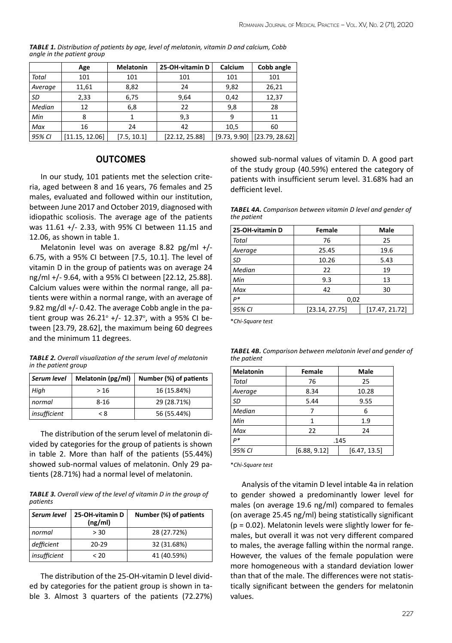|         | Age            | <b>Melatonin</b> | 25-OH-vitamin D | Calcium | Cobb angle                      |
|---------|----------------|------------------|-----------------|---------|---------------------------------|
| Total   | 101            | 101              | 101             | 101     | 101                             |
| Average | 11,61          | 8,82             | 24              | 9,82    | 26,21                           |
| SD      | 2,33           | 6,75             | 9,64            | 0,42    | 12,37                           |
| Median  | 12             | 6,8              | 22              | 9,8     | 28                              |
| Min     | 8              |                  | 9,3             | 9       | 11                              |
| Max     | 16             | 24               | 42              | 10,5    | 60                              |
| 95% CI  | [11.15, 12.06] | [7.5, 10.1]      | [22.12, 25.88]  |         | $[9.73, 9.90]$ $[23.79, 28.62]$ |

*Table 1. Distribution of patients by age, level of melatonin, vitamin D and calcium, Cobb angle in the patient group*

### **OUTCOMES**

In our study, 101 patients met the selection criteria, aged between 8 and 16 years, 76 females and 25 males, evaluated and followed within our institution, between June 2017 and October 2019, diagnosed with idiopathic scoliosis. The average age of the patients was 11.61 +/- 2.33, with 95% CI between 11.15 and 12.06, as shown in table 1.

Melatonin level was on average 8.82 pg/ml +/- 6.75, with a 95% CI between [7.5, 10.1]. The level of vitamin D in the group of patients was on average 24 ng/ml +/- 9.64, with a 95% CI between [22.12, 25.88]. Calcium values were within the normal range, all patients were within a normal range, with an average of 9.82 mg/dl +/- 0.42. The average Cobb angle in the patient group was  $26.21^{\circ}$  +/- 12.37°, with a 95% CI between [23.79, 28.62], the maximum being 60 degrees and the minimum 11 degrees.

*Table 2. Overall visualization of the serum level of melatonin in the patient group*

| Serum level  | Melatonin (pg/ml) | Number (%) of patients |
|--------------|-------------------|------------------------|
| High         | >16               | 16 (15.84%)            |
| normal       | 8-16              | 29 (28.71%)            |
| insufficient | < 8               | 56 (55.44%)            |

The distribution of the serum level of melatonin divided by categories for the group of patients is shown in table 2. More than half of the patients (55.44%) showed sub-normal values of melatonin. Only 29 patients (28.71%) had a normal level of melatonin.

*Table 3. Overall view of the level of vitamin D in the group of patients*

| Serum level  | 25-OH-vitamin D<br>(ng/ml) | Number (%) of patients |
|--------------|----------------------------|------------------------|
| normal       | > 30                       | 28 (27.72%)            |
| defficient   | $20 - 29$                  | 32 (31.68%)            |
| insufficient | < 20                       | 41 (40.59%)            |

The distribution of the 25-OH-vitamin D level divided by categories for the patient group is shown in table 3. Almost 3 quarters of the patients (72.27%) showed sub-normal values of vitamin D. A good part of the study group (40.59%) entered the category of patients with insufficient serum level. 31.68% had an defficient level.

*Tabel 4a. Comparison between vitamin D level and gender of the patient*

| 25-OH-vitamin D | Female         | Male           |  |
|-----------------|----------------|----------------|--|
| Total           | 76             | 25             |  |
| Average         | 25.45          | 19.6           |  |
| l SD            | 10.26          | 5.43           |  |
| <b>Median</b>   | 22             | 19             |  |
| Min             | 9.3            | 13             |  |
| Max             | 42             | 30             |  |
| $p*$            | 0,02           |                |  |
| 95% CI          | [23.14, 27.75] | [17.47, 21.72] |  |
| $\cdots$        |                |                |  |

\**Chi-Square test*

| <b>TABEL 4B.</b> Comparison between melatonin level and gender of |  |
|-------------------------------------------------------------------|--|
| the patient                                                       |  |

| Melatonin     | Female       | Male         |  |
|---------------|--------------|--------------|--|
| Total         | 76           | 25           |  |
| Average       | 8.34         | 10.28        |  |
| l SD          | 5.44         | 9.55         |  |
| <b>Median</b> |              | 6            |  |
| Min           | 1            | 1.9          |  |
| Max           | 22           | 24           |  |
| $P*$          | .145         |              |  |
| 95% CI        | [6.88, 9.12] | [6.47, 13.5] |  |

\**Chi-Square test*

Analysis of the vitamin D level intable 4a in relation to gender showed a predominantly lower level for males (on average 19.6 ng/ml) compared to females (on average 25.45 ng/ml) being statistically significant  $(p = 0.02)$ . Melatonin levels were slightly lower for females, but overall it was not very different compared to males, the average falling within the normal range. However, the values of the female population were more homogeneous with a standard deviation lower than that of the male. The differences were not statistically significant between the genders for melatonin values.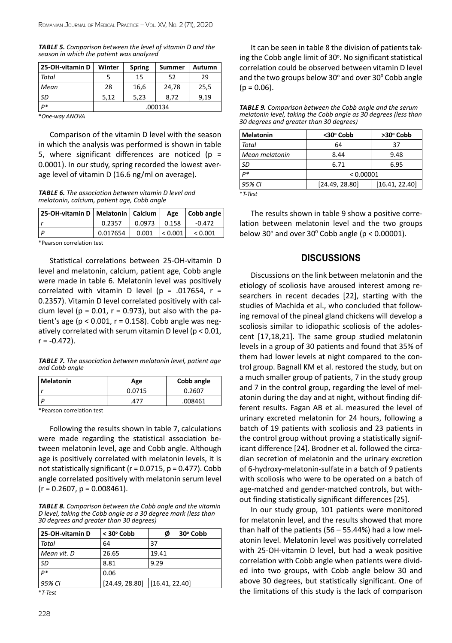| <b>TABLE 5.</b> Comparison between the level of vitamin D and the |
|-------------------------------------------------------------------|
| season in which the patient was analyzed                          |

| 25-OH-vitamin D | Winter  | <b>Spring</b> | <b>Summer</b> | Autumn |
|-----------------|---------|---------------|---------------|--------|
| Total           |         | 15            | 52            | 29     |
| Mean            | 28      | 16,6          | 24,78         | 25,5   |
| SD              | 5,12    | 5,23          | 8,72          | 9.19   |
| $D*$            | .000134 |               |               |        |

\**One-way ANOVA*

Comparison of the vitamin D level with the season in which the analysis was performed is shown in table 5, where significant differences are noticed ( $p =$ 0.0001). In our study, spring recorded the lowest average level of vitamin D (16.6 ng/ml on average).

*Table 6. The association between vitamin D level and melatonin, calcium, patient age, Cobb angle*

| 25-OH-vitamin D   Melatonin   Calcium |          |                | Age     | Cobb angle |
|---------------------------------------|----------|----------------|---------|------------|
|                                       | 0.2357   | $0.0973$ 0.158 |         | -0.472     |
| I D                                   | 0.017654 | 0.001          | < 0.001 | < 0.001    |

\*Pearson correlation test

Statistical correlations between 25-OH-vitamin D level and melatonin, calcium, patient age, Cobb angle were made in table 6. Melatonin level was positively correlated with vitamin D level ( $p = .017654$ ,  $r =$ 0.2357). Vitamin D level correlated positively with calcium level ( $p = 0.01$ ,  $r = 0.973$ ), but also with the patient's age ( $p < 0.001$ ,  $r = 0.158$ ). Cobb angle was negatively correlated with serum vitamin D level (p < 0.01,  $r = -0.472$ ).

*Table 7. The association between melatonin level, patient age and Cobb angle*

| Melatonin | Age    | Cobb angle |  |
|-----------|--------|------------|--|
|           | 0.0715 | 0.2607     |  |
|           |        | .008461    |  |

\*Pearson correlation test

Following the results shown in table 7, calculations were made regarding the statistical association between melatonin level, age and Cobb angle. Although age is positively correlated with melatonin levels, it is not statistically significant ( $r = 0.0715$ ,  $p = 0.477$ ). Cobb angle correlated positively with melatonin serum level  $(r = 0.2607, p = 0.008461).$ 

*Table 8. Comparison between the Cobb angle and the vitamin D level, taking the Cobb angle as a 30 degree mark (less than 30 degrees and greater than 30 degrees)*

| $<$ 30 $^{\circ}$ Cobb            | $30^\circ$ Cobb<br>Ø |
|-----------------------------------|----------------------|
| 64                                | 37                   |
| 26.65                             | 19.41                |
| 8.81                              | 9.29                 |
| 0.06                              |                      |
| $[24.49, 28.80]$ $[16.41, 22.40]$ |                      |
|                                   |                      |

\**T-Test*

It can be seen in table 8 the division of patients taking the Cobb angle limit of 30°. No significant statistical correlation could be observed between vitamin D level and the two groups below  $30^{\circ}$  and over  $30^{\circ}$  Cobb angle  $(p = 0.06)$ .

| <b>TABLE 9.</b> Comparison between the Cobb angle and the serum |
|-----------------------------------------------------------------|
| melatonin level, taking the Cobb angle as 30 degrees (less than |
| 30 degrees and greater than 30 degrees)                         |

| <b>Melatonin</b> | <30° Cobb      | >30° Cobb      |
|------------------|----------------|----------------|
| Total            | 64             | 37             |
| l Mean melatonin | 8.44           | 9.48           |
| SD               | 6.71           | 6.95           |
| $D*$             | < 0.00001      |                |
| 95% CI           | [24.49, 28.80] | [16.41, 22.40] |
| $\cdots$         |                |                |

\**T-Test*

The results shown in table 9 show a positive correlation between melatonin level and the two groups below 30 $^{\circ}$  and over 30 $^{\circ}$  Cobb angle (p < 0.00001).

#### **DISCUSSIONS**

Discussions on the link between melatonin and the etiology of scoliosis have aroused interest among researchers in recent decades [22], starting with the studies of Machida et al., who concluded that following removal of the pineal gland chickens will develop a scoliosis similar to idiopathic scoliosis of the adolescent [17,18,21]. The same group studied melatonin levels in a group of 30 patients and found that 35% of them had lower levels at night compared to the control group. Bagnall KM et al. restored the study, but on a much smaller group of patients, 7 in the study group and 7 in the control group, regarding the level of melatonin during the day and at night, without finding different results. Fagan AB et al. measured the level of urinary excreted melatonin for 24 hours, following a batch of 19 patients with scoliosis and 23 patients in the control group without proving a statistically significant difference [24]. Brodner et al. followed the circadian secretion of melatonin and the urinary excretion of 6-hydroxy-melatonin-sulfate in a batch of 9 patients with scoliosis who were to be operated on a batch of age-matched and gender-matched controls, but without finding statistically significant differences [25].

In our study group, 101 patients were monitored for melatonin level, and the results showed that more than half of the patients (56 – 55.44%) had a low melatonin level. Melatonin level was positively correlated with 25-OH-vitamin D level, but had a weak positive correlation with Cobb angle when patients were divided into two groups, with Cobb angle below 30 and above 30 degrees, but statistically significant. One of the limitations of this study is the lack of comparison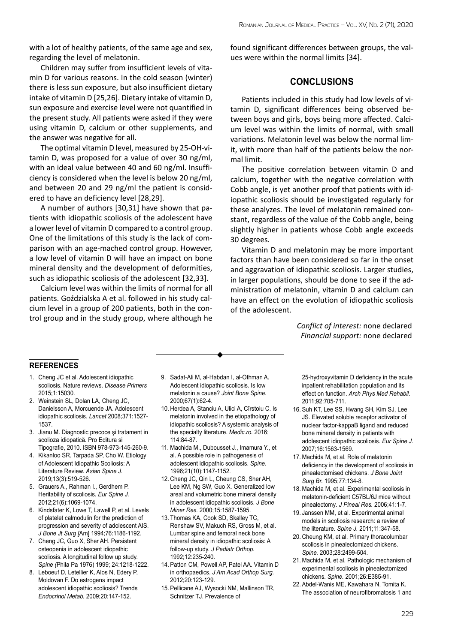with a lot of healthy patients, of the same age and sex, regarding the level of melatonin.

Children may suffer from insufficient levels of vitamin D for various reasons. In the cold season (winter) there is less sun exposure, but also insufficient dietary intake of vitamin D [25,26]. Dietary intake of vitamin D, sun exposure and exercise level were not quantified in the present study. All patients were asked if they were using vitamin D, calcium or other supplements, and the answer was negative for all.

The optimal vitamin D level, measured by 25-OH-vitamin D, was proposed for a value of over 30 ng/ml, with an ideal value between 40 and 60 ng/ml. Insufficiency is considered when the level is below 20 ng/ml, and between 20 and 29 ng/ml the patient is considered to have an deficiency level [28,29].

A number of authors [30,31] have shown that patients with idiopathic scoliosis of the adolescent have a lower level of vitamin D compared to a control group. One of the limitations of this study is the lack of comparison with an age-mached control group. However, a low level of vitamin D will have an impact on bone mineral density and the development of deformities, such as idiopathic scoliosis of the adolescent [32,33].

Calcium level was within the limits of normal for all patients. Goździalska A et al. followed in his study calcium level in a group of 200 patients, both in the control group and in the study group, where although he found significant differences between groups, the values were within the normal limits [34].

## **CONCLUSIONS**

Patients included in this study had low levels of vitamin D, significant differences being observed between boys and girls, boys being more affected. Calcium level was within the limits of normal, with small variations. Melatonin level was below the normal limit, with more than half of the patients below the normal limit.

The positive correlation between vitamin D and calcium, together with the negative correlation with Cobb angle, is yet another proof that patients with idiopathic scoliosis should be investigated regularly for these analyzes. The level of melatonin remained constant, regardless of the value of the Cobb angle, being slightly higher in patients whose Cobb angle exceeds 30 degrees.

Vitamin D and melatonin may be more important factors than have been considered so far in the onset and aggravation of idiopathic scoliosis. Larger studies, in larger populations, should be done to see if the administration of melatonin, vitamin D and calcium can have an effect on the evolution of idiopathic scoliosis of the adolescent.

> *Conflict of interest:* none declared *Financial support:* none declared

#### **references**

- 1. Cheng JC et al. Adolescent idiopathic scoliosis. Nature reviews. *Disease Primers* 2015;1:15030.
- 2. Weinstein SL, Dolan LA, Cheng JC, Danielsson A, Morcuende JA. Adolescent idiopathic scoliosis. *Lancet* 2008;371:1527- 1537.
- 3. Jianu M. Diagnostic precoce şi tratament in scolioza idiopatică. Pro Editura si Tipografie, 2010. ISBN 978-973-145-260-9.
- 4. Kikanloo SR, Tarpada SP, Cho W. Etiology of Adolescent Idiopathic Scoliosis: A Literature Review. *Asian Spine J.* 2019;13(3):519-526.
- 5. Grauers A., Rahman I., Gerdhem P. Heritability of scoliosis. *Eur Spine J.* 2012;21(6):1069-1074.
- 6. Kindsfater K, Lowe T, Lawell P, et al. Levels of platelet calmodulin for the prediction of progression and severity of adolescent AIS. *J Bone Jt Surg [*Am] 1994;76:1186-1192.
- 7. Cheng JC, Guo X, Sher AH. Persistent osteopenia in adolescent idiopathic scoliosis. A longitudinal follow up study. *Spine (*Phila Pa 1976) 1999; 24:1218-1222.
- 8. Leboeuf D, Letellier K, Alos N, Edery P, Moldovan F. Do estrogens impact adolescent idiopathic scoliosis? Trends *Endocrinol Metab.* 2009;20:147-152.
- 9. Sadat-Ali M, al-Habdan I, al-Othman A. Adolescent idiopathic scoliosis. Is low melatonin a cause? *Joint Bone Spine*. 2000;67(1):62-4.
- 10. Herdea A, Stanciu A, Ulici A, Cîrstoiu C. Is melatonin involved in the etiopathology of idiopathic scoliosis? A systemic analysis of the specialty literature. *Medic.ro.* 2016; 114:84-87.
- 11. Machida M., Dubousset J., Imamura Y., et al. A possible role in pathogenesis of adolescent idiopathic scoliosis. *Spine*. 1996;21(10):1147-1152.
- 12. Cheng JC, Qin L, Cheung CS, Sher AH, Lee KM, Ng SW, Guo X. Generalized low areal and volumetric bone mineral density in adolescent idiopathic scoliosis. *J Bone Miner Res.* 2000;15:1587-1595.
- 13. Thomas KA, Cook SD, Skalley TC, Renshaw SV, Makuch RS, Gross M, et al. Lumbar spine and femoral neck bone mineral density in idiopathic scoliosis: A follow-up study. *J Pediatr Orthop.* 1992;12:235-240.
- 14. Patton CM, Powell AP, Patel AA. Vitamin D in orthopaedics. *J Am Acad Orthop Surg.* 2012;20:123-129.
- 15. Pellicane AJ, Wysocki NM, Mallinson TR, Schnitzer TJ. Prevalence of

25-hydroxyvitamin D deficiency in the acute inpatient rehabilitation population and its effect on function. *Arch Phys Med Rehabil.* 2011;92:705-711.

- 16. Suh KT, Lee SS, Hwang SH, Kim SJ, Lee JS. Elevated soluble receptor activator of nuclear factor-kappaB ligand and reduced bone mineral density in patients with adolescent idiopathic scoliosis. *Eur Spine J.* 2007;16:1563-1569.
- 17. Machida M, et al. Role of melatonin deficiency in the development of scoliosis in pinealectomised chickens. *J Bone Joint Surg Br.* 1995;77:134-8.
- 18. Machida M, et al. Experimental scoliosis in melatonin-deficient C57BL/6J mice without pinealectomy*. J Pineal Res.* 2006;41:1-7.
- 19. Janssen MM, et al. Experimental animal models in scoliosis research: a review of the literature. *Spine J.* 2011;11:347-58.
- 20. Cheung KM, et al. Primary thoracolumbar scoliosis in pinealectomized chickens. *Spine.* 2003;28:2499-504.
- 21. Machida M, et al. Pathologic mechanism of experimental scoliosis in pinealectomized chickens*. Spine.* 2001;26:E385-91.
- 22. Abdel-Wanis ME, Kawahara N, Tomita K. The association of neurofibromatosis 1 and